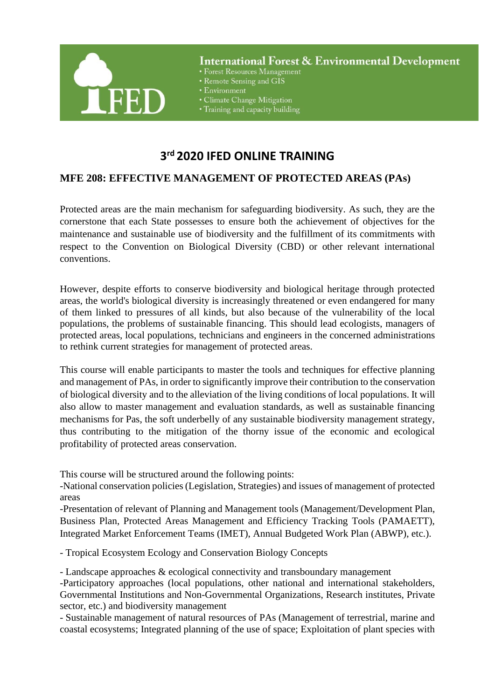

**International Forest & Environmental Development** 

- Forest Resources Management
- Remote Sensing and GIS
- Environment
- Climate Change Mitigation
- Training and capacity building

## **3 rd 2020 IFED ONLINE TRAINING**

## **MFE 208: EFFECTIVE MANAGEMENT OF PROTECTED AREAS (PAs)**

Protected areas are the main mechanism for safeguarding biodiversity. As such, they are the cornerstone that each State possesses to ensure both the achievement of objectives for the maintenance and sustainable use of biodiversity and the fulfillment of its commitments with respect to the Convention on Biological Diversity (CBD) or other relevant international conventions.

However, despite efforts to conserve biodiversity and biological heritage through protected areas, the world's biological diversity is increasingly threatened or even endangered for many of them linked to pressures of all kinds, but also because of the vulnerability of the local populations, the problems of sustainable financing. This should lead ecologists, managers of protected areas, local populations, technicians and engineers in the concerned administrations to rethink current strategies for management of protected areas.

This course will enable participants to master the tools and techniques for effective planning and management of PAs, in order to significantly improve their contribution to the conservation of biological diversity and to the alleviation of the living conditions of local populations. It will also allow to master management and evaluation standards, as well as sustainable financing mechanisms for Pas, the soft underbelly of any sustainable biodiversity management strategy, thus contributing to the mitigation of the thorny issue of the economic and ecological profitability of protected areas conservation.

This course will be structured around the following points:

-National conservation policies (Legislation, Strategies) and issues of management of protected areas

-Presentation of relevant of Planning and Management tools (Management/Development Plan, Business Plan, Protected Areas Management and Efficiency Tracking Tools (PAMAETT), Integrated Market Enforcement Teams (IMET), Annual Budgeted Work Plan (ABWP), etc.).

- Tropical Ecosystem Ecology and Conservation Biology Concepts

- Landscape approaches & ecological connectivity and transboundary management -Participatory approaches (local populations, other national and international stakeholders, Governmental Institutions and Non-Governmental Organizations, Research institutes, Private sector, etc.) and biodiversity management

- Sustainable management of natural resources of PAs (Management of terrestrial, marine and coastal ecosystems; Integrated planning of the use of space; Exploitation of plant species with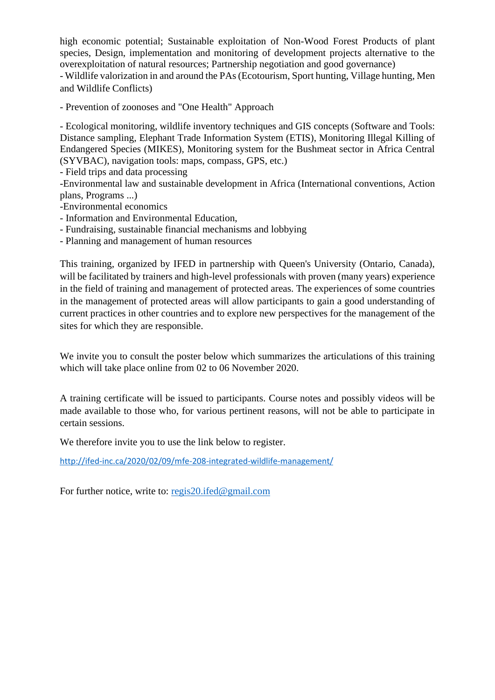high economic potential; Sustainable exploitation of Non-Wood Forest Products of plant species, Design, implementation and monitoring of development projects alternative to the overexploitation of natural resources; Partnership negotiation and good governance)

- Wildlife valorization in and around the PAs (Ecotourism, Sport hunting, Village hunting, Men and Wildlife Conflicts)

- Prevention of zoonoses and "One Health" Approach

- Ecological monitoring, wildlife inventory techniques and GIS concepts (Software and Tools: Distance sampling, Elephant Trade Information System (ETIS), Monitoring Illegal Killing of Endangered Species (MIKES), Monitoring system for the Bushmeat sector in Africa Central (SYVBAC), navigation tools: maps, compass, GPS, etc.)

- Field trips and data processing

-Environmental law and sustainable development in Africa (International conventions, Action plans, Programs ...)

-Environmental economics

- Information and Environmental Education,
- Fundraising, sustainable financial mechanisms and lobbying

- Planning and management of human resources

This training, organized by IFED in partnership with Queen's University (Ontario, Canada), will be facilitated by trainers and high-level professionals with proven (many years) experience in the field of training and management of protected areas. The experiences of some countries in the management of protected areas will allow participants to gain a good understanding of current practices in other countries and to explore new perspectives for the management of the sites for which they are responsible.

We invite you to consult the poster below which summarizes the articulations of this training which will take place online from 02 to 06 November 2020.

A training certificate will be issued to participants. Course notes and possibly videos will be made available to those who, for various pertinent reasons, will not be able to participate in certain sessions.

We therefore invite you to use the link below to register.

<http://ifed-inc.ca/2020/02/09/mfe-208-integrated-wildlife-management/>

For further notice, write to: [regis20.ifed@gmail.com](mailto:regis20.ifed@gmail.com)